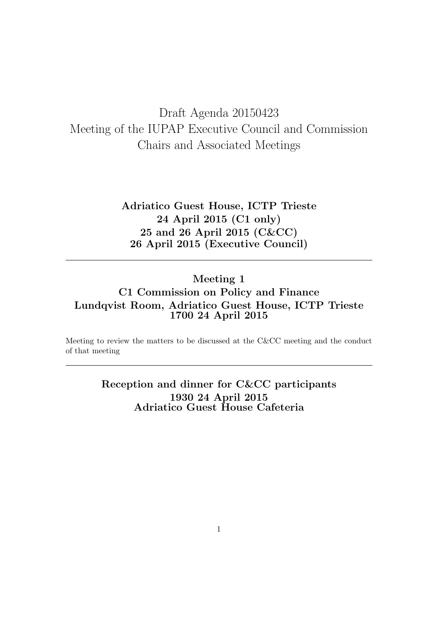# Draft Agenda 20150423 Meeting of the IUPAP Executive Council and Commission Chairs and Associated Meetings

Adriatico Guest House, ICTP Trieste 24 April 2015 (C1 only) 25 and 26 April 2015 (C&CC) 26 April 2015 (Executive Council)

## Meeting 1 C1 Commission on Policy and Finance Lundqvist Room, Adriatico Guest House, ICTP Trieste 1700 24 April 2015

Meeting to review the matters to be discussed at the C&CC meeting and the conduct of that meeting

> Reception and dinner for C&CC participants 1930 24 April 2015 Adriatico Guest House Cafeteria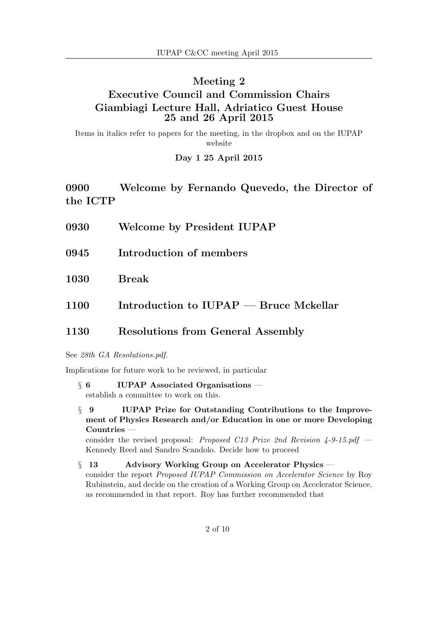## Meeting 2 Executive Council and Commission Chairs Giambiagi Lecture Hall, Adriatico Guest House 25 and 26 April 2015

Items in italics refer to papers for the meeting, in the dropbox and on the IUPAP website

#### Day 1 25 April 2015

0900 Welcome by Fernando Quevedo, the Director of the ICTP

- 0930 Welcome by President IUPAP
- 0945 Introduction of members
- 1030 Break
- 1100 Introduction to IUPAP Bruce Mckellar

### 1130 Resolutions from General Assembly

#### See 28th GA Resolutions.pdf.

Implications for future work to be reviewed, in particular

- § 6 IUPAP Associated Organisations establish a committee to work on this.
- § 9 IUPAP Prize for Outstanding Contributions to the Improvement of Physics Research and/or Education in one or more Developing Countries —

consider the revised proposal: Proposed C13 Prize 2nd Revision  $4-9-15.pdf$ Kennedy Reed and Sandro Scandolo. Decide how to proceed

§ 13 Advisory Working Group on Accelerator Physics consider the report Proposed IUPAP Commission on Accelerator Science by Roy Rubinstein, and decide on the creation of a Working Group on Accelerator Science, as recommended in that report. Roy has further recommended that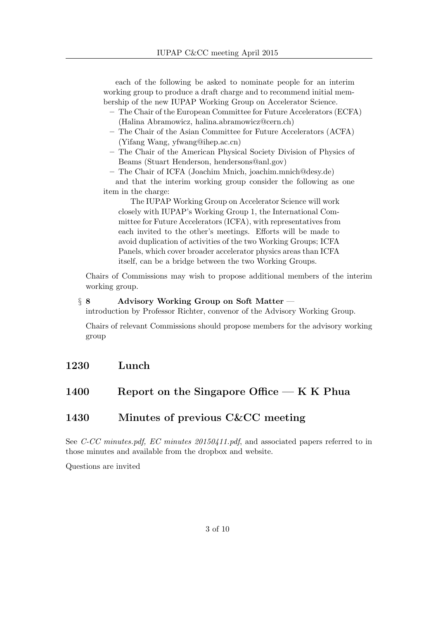each of the following be asked to nominate people for an interim working group to produce a draft charge and to recommend initial membership of the new IUPAP Working Group on Accelerator Science.

- The Chair of the European Committee for Future Accelerators (ECFA) (Halina Abramowicz, halina.abramowicz@cern.ch)
- The Chair of the Asian Committee for Future Accelerators (ACFA) (Yifang Wang, yfwang@ihep.ac.cn)
- The Chair of the American Physical Society Division of Physics of Beams (Stuart Henderson, hendersons@anl.gov)
- The Chair of ICFA (Joachim Mnich, joachim.mnich@desy.de)

and that the interim working group consider the following as one item in the charge:

The IUPAP Working Group on Accelerator Science will work closely with IUPAP's Working Group 1, the International Committee for Future Accelerators (ICFA), with representatives from each invited to the other's meetings. Efforts will be made to avoid duplication of activities of the two Working Groups; ICFA Panels, which cover broader accelerator physics areas than ICFA itself, can be a bridge between the two Working Groups.

Chairs of Commissions may wish to propose additional members of the interim working group.

#### $\S 8$  Advisory Working Group on Soft Matter –

introduction by Professor Richter, convenor of the Advisory Working Group.

Chairs of relevant Commissions should propose members for the advisory working group

## 1230 Lunch

## 1400 Report on the Singapore Office  $-K K$  Phua

## 1430 Minutes of previous C&CC meeting

See C-CC minutes.pdf, EC minutes 20150411.pdf, and associated papers referred to in those minutes and available from the dropbox and website.

Questions are invited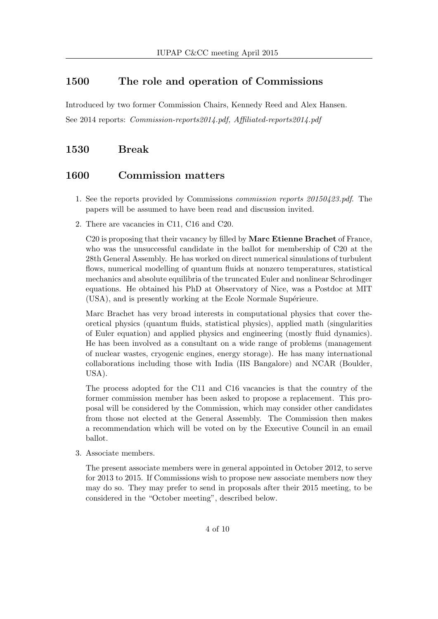## 1500 The role and operation of Commissions

Introduced by two former Commission Chairs, Kennedy Reed and Alex Hansen. See 2014 reports: Commission-reports2014.pdf, Affiliated-reports2014.pdf

## 1530 Break

#### 1600 Commission matters

- 1. See the reports provided by Commissions commission reports 20150423.pdf. The papers will be assumed to have been read and discussion invited.
- 2. There are vacancies in C11, C16 and C20.

C<sub>20</sub> is proposing that their vacancy by filled by **Marc Etienne Brachet** of France, who was the unsuccessful candidate in the ballot for membership of C20 at the 28th General Assembly. He has worked on direct numerical simulations of turbulent flows, numerical modelling of quantum fluids at nonzero temperatures, statistical mechanics and absolute equilibria of the truncated Euler and nonlinear Schrodinger equations. He obtained his PhD at Observatory of Nice, was a Postdoc at MIT (USA), and is presently working at the Ecole Normale Supérieure.

Marc Brachet has very broad interests in computational physics that cover theoretical physics (quantum fluids, statistical physics), applied math (singularities of Euler equation) and applied physics and engineering (mostly fluid dynamics). He has been involved as a consultant on a wide range of problems (management of nuclear wastes, cryogenic engines, energy storage). He has many international collaborations including those with India (IIS Bangalore) and NCAR (Boulder, USA).

The process adopted for the C11 and C16 vacancies is that the country of the former commission member has been asked to propose a replacement. This proposal will be considered by the Commission, which may consider other candidates from those not elected at the General Assembly. The Commission then makes a recommendation which will be voted on by the Executive Council in an email ballot.

3. Associate members.

The present associate members were in general appointed in October 2012, to serve for 2013 to 2015. If Commissions wish to propose new associate members now they may do so. They may prefer to send in proposals after their 2015 meeting, to be considered in the "October meeting", described below.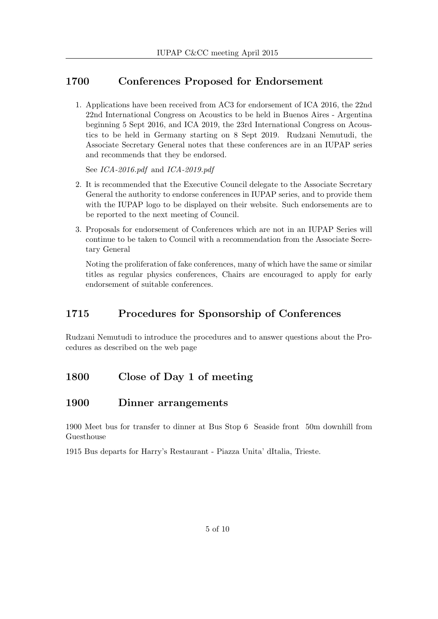## 1700 Conferences Proposed for Endorsement

1. Applications have been received from AC3 for endorsement of ICA 2016, the 22nd 22nd International Congress on Acoustics to be held in Buenos Aires - Argentina beginning 5 Sept 2016, and ICA 2019, the 23rd International Congress on Acoustics to be held in Germany starting on 8 Sept 2019. Rudzani Nemutudi, the Associate Secretary General notes that these conferences are in an IUPAP series and recommends that they be endorsed.

See ICA-2016.pdf and ICA-2019.pdf

- 2. It is recommended that the Executive Council delegate to the Associate Secretary General the authority to endorse conferences in IUPAP series, and to provide them with the IUPAP logo to be displayed on their website. Such endorsements are to be reported to the next meeting of Council.
- 3. Proposals for endorsement of Conferences which are not in an IUPAP Series will continue to be taken to Council with a recommendation from the Associate Secretary General

Noting the proliferation of fake conferences, many of which have the same or similar titles as regular physics conferences, Chairs are encouraged to apply for early endorsement of suitable conferences.

## 1715 Procedures for Sponsorship of Conferences

Rudzani Nemutudi to introduce the procedures and to answer questions about the Procedures as described on the web page

## 1800 Close of Day 1 of meeting

## 1900 Dinner arrangements

1900 Meet bus for transfer to dinner at Bus Stop 6 Seaside front 50m downhill from Guesthouse

1915 Bus departs for Harry's Restaurant - Piazza Unita' dItalia, Trieste.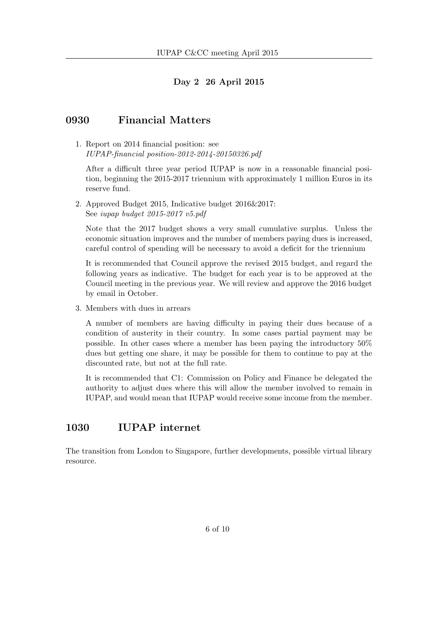#### Day 2 26 April 2015

### 0930 Financial Matters

1. Report on 2014 financial position: see IUPAP-financial position-2012-2014-20150326.pdf

After a difficult three year period IUPAP is now in a reasonable financial position, beginning the 2015-2017 triennium with approximately 1 million Euros in its reserve fund.

2. Approved Budget 2015, Indicative budget 2016&2017: See iupap budget 2015-2017 v5.pdf

Note that the 2017 budget shows a very small cumulative surplus. Unless the economic situation improves and the number of members paying dues is increased, careful control of spending will be necessary to avoid a deficit for the triennium

It is recommended that Council approve the revised 2015 budget, and regard the following years as indicative. The budget for each year is to be approved at the Council meeting in the previous year. We will review and approve the 2016 budget by email in October.

3. Members with dues in arrears

A number of members are having difficulty in paying their dues because of a condition of austerity in their country. In some cases partial payment may be possible. In other cases where a member has been paying the introductory 50% dues but getting one share, it may be possible for them to continue to pay at the discounted rate, but not at the full rate.

It is recommended that C1: Commission on Policy and Finance be delegated the authority to adjust dues where this will allow the member involved to remain in IUPAP, and would mean that IUPAP would receive some income from the member.

## 1030 IUPAP internet

The transition from London to Singapore, further developments, possible virtual library resource.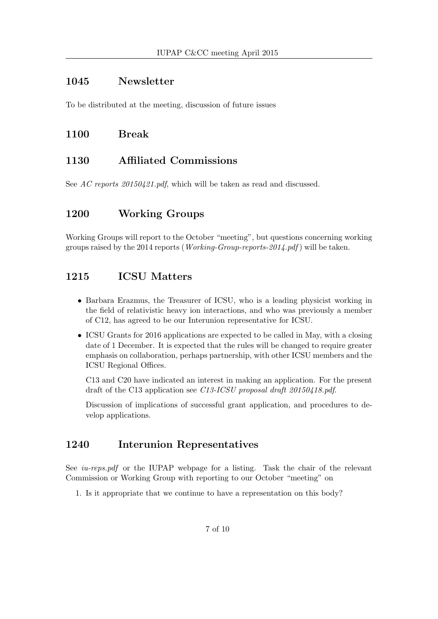### 1045 Newsletter

To be distributed at the meeting, discussion of future issues

### 1100 Break

## 1130 Affiliated Commissions

See AC reports 20150421.pdf, which will be taken as read and discussed.

## 1200 Working Groups

Working Groups will report to the October "meeting", but questions concerning working groups raised by the 2014 reports (*Working-Group-reports-2014.pdf*) will be taken.

## 1215 ICSU Matters

- Barbara Erazmus, the Treasurer of ICSU, who is a leading physicist working in the field of relativistic heavy ion interactions, and who was previously a member of C12, has agreed to be our Interunion representative for ICSU.
- ICSU Grants for 2016 applications are expected to be called in May, with a closing date of 1 December. It is expected that the rules will be changed to require greater emphasis on collaboration, perhaps partnership, with other ICSU members and the ICSU Regional Offices.

C13 and C20 have indicated an interest in making an application. For the present draft of the C13 application see C13-ICSU proposal draft 20150418.pdf.

Discussion of implications of successful grant application, and procedures to develop applications.

## 1240 Interunion Representatives

See *iu-reps.pdf* or the IUPAP webpage for a listing. Task the chair of the relevant Commission or Working Group with reporting to our October "meeting" on

1. Is it appropriate that we continue to have a representation on this body?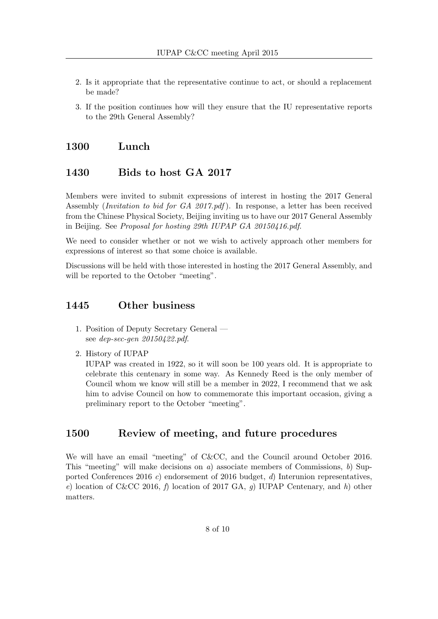- 2. Is it appropriate that the representative continue to act, or should a replacement be made?
- 3. If the position continues how will they ensure that the IU representative reports to the 29th General Assembly?

#### 1300 Lunch

### 1430 Bids to host GA 2017

Members were invited to submit expressions of interest in hosting the 2017 General Assembly (Invitation to bid for GA 2017.pdf ). In response, a letter has been received from the Chinese Physical Society, Beijing inviting us to have our 2017 General Assembly in Beijing. See Proposal for hosting 29th IUPAP GA 20150416.pdf.

We need to consider whether or not we wish to actively approach other members for expressions of interest so that some choice is available.

Discussions will be held with those interested in hosting the 2017 General Assembly, and will be reported to the October "meeting".

#### 1445 Other business

- 1. Position of Deputy Secretary General see dep-sec-gen 20150422.pdf.
- 2. History of IUPAP

IUPAP was created in 1922, so it will soon be 100 years old. It is appropriate to celebrate this centenary in some way. As Kennedy Reed is the only member of Council whom we know will still be a member in 2022, I recommend that we ask him to advise Council on how to commemorate this important occasion, giving a preliminary report to the October "meeting".

#### 1500 Review of meeting, and future procedures

We will have an email "meeting" of C&CC, and the Council around October 2016. This "meeting" will make decisions on  $a$ ) associate members of Commissions,  $b$ ) Supported Conferences 2016 c) endorsement of 2016 budget, d) Interunion representatives, e) location of C&CC 2016, f) location of 2017 GA, q) IUPAP Centenary, and h) other matters.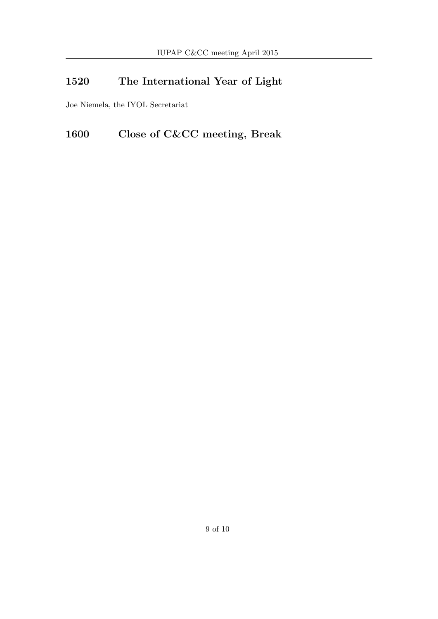# 1520 The International Year of Light

Joe Niemela, the IYOL Secretariat

# 1600 Close of C&CC meeting, Break